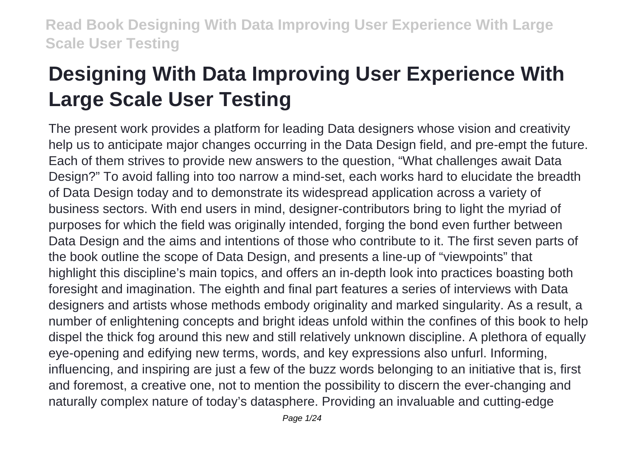# **Designing With Data Improving User Experience With Large Scale User Testing**

The present work provides a platform for leading Data designers whose vision and creativity help us to anticipate major changes occurring in the Data Design field, and pre-empt the future. Each of them strives to provide new answers to the question, "What challenges await Data Design?" To avoid falling into too narrow a mind-set, each works hard to elucidate the breadth of Data Design today and to demonstrate its widespread application across a variety of business sectors. With end users in mind, designer-contributors bring to light the myriad of purposes for which the field was originally intended, forging the bond even further between Data Design and the aims and intentions of those who contribute to it. The first seven parts of the book outline the scope of Data Design, and presents a line-up of "viewpoints" that highlight this discipline's main topics, and offers an in-depth look into practices boasting both foresight and imagination. The eighth and final part features a series of interviews with Data designers and artists whose methods embody originality and marked singularity. As a result, a number of enlightening concepts and bright ideas unfold within the confines of this book to help dispel the thick fog around this new and still relatively unknown discipline. A plethora of equally eye-opening and edifying new terms, words, and key expressions also unfurl. Informing, influencing, and inspiring are just a few of the buzz words belonging to an initiative that is, first and foremost, a creative one, not to mention the possibility to discern the ever-changing and naturally complex nature of today's datasphere. Providing an invaluable and cutting-edge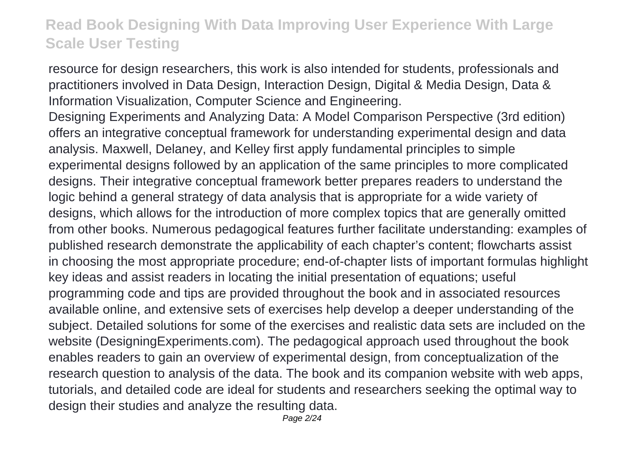resource for design researchers, this work is also intended for students, professionals and practitioners involved in Data Design, Interaction Design, Digital & Media Design, Data & Information Visualization, Computer Science and Engineering.

Designing Experiments and Analyzing Data: A Model Comparison Perspective (3rd edition) offers an integrative conceptual framework for understanding experimental design and data analysis. Maxwell, Delaney, and Kelley first apply fundamental principles to simple experimental designs followed by an application of the same principles to more complicated designs. Their integrative conceptual framework better prepares readers to understand the logic behind a general strategy of data analysis that is appropriate for a wide variety of designs, which allows for the introduction of more complex topics that are generally omitted from other books. Numerous pedagogical features further facilitate understanding: examples of published research demonstrate the applicability of each chapter's content; flowcharts assist in choosing the most appropriate procedure; end-of-chapter lists of important formulas highlight key ideas and assist readers in locating the initial presentation of equations; useful programming code and tips are provided throughout the book and in associated resources available online, and extensive sets of exercises help develop a deeper understanding of the subject. Detailed solutions for some of the exercises and realistic data sets are included on the website (DesigningExperiments.com). The pedagogical approach used throughout the book enables readers to gain an overview of experimental design, from conceptualization of the research question to analysis of the data. The book and its companion website with web apps, tutorials, and detailed code are ideal for students and researchers seeking the optimal way to design their studies and analyze the resulting data.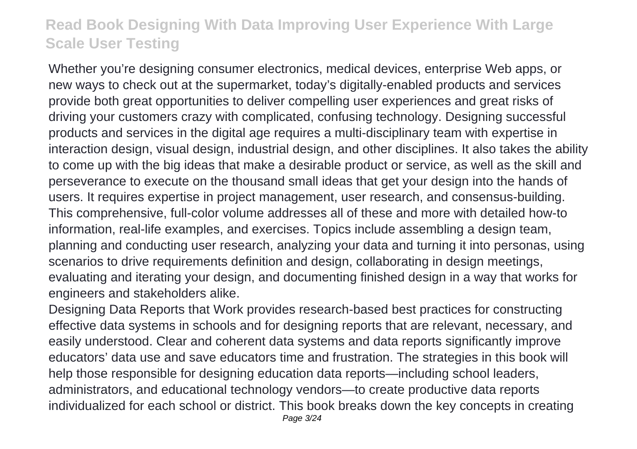Whether you're designing consumer electronics, medical devices, enterprise Web apps, or new ways to check out at the supermarket, today's digitally-enabled products and services provide both great opportunities to deliver compelling user experiences and great risks of driving your customers crazy with complicated, confusing technology. Designing successful products and services in the digital age requires a multi-disciplinary team with expertise in interaction design, visual design, industrial design, and other disciplines. It also takes the ability to come up with the big ideas that make a desirable product or service, as well as the skill and perseverance to execute on the thousand small ideas that get your design into the hands of users. It requires expertise in project management, user research, and consensus-building. This comprehensive, full-color volume addresses all of these and more with detailed how-to information, real-life examples, and exercises. Topics include assembling a design team, planning and conducting user research, analyzing your data and turning it into personas, using scenarios to drive requirements definition and design, collaborating in design meetings, evaluating and iterating your design, and documenting finished design in a way that works for engineers and stakeholders alike.

Designing Data Reports that Work provides research-based best practices for constructing effective data systems in schools and for designing reports that are relevant, necessary, and easily understood. Clear and coherent data systems and data reports significantly improve educators' data use and save educators time and frustration. The strategies in this book will help those responsible for designing education data reports—including school leaders, administrators, and educational technology vendors—to create productive data reports individualized for each school or district. This book breaks down the key concepts in creating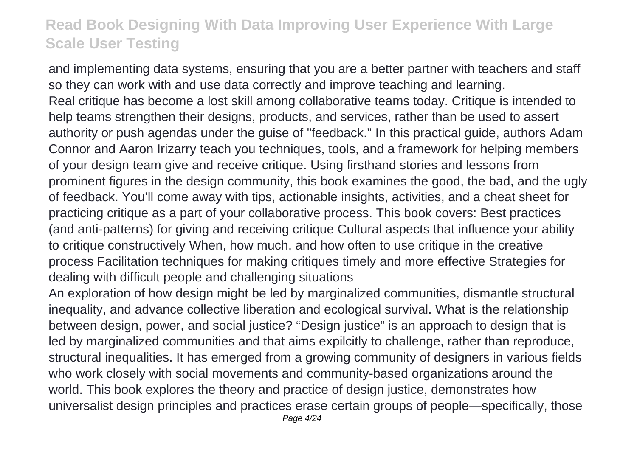and implementing data systems, ensuring that you are a better partner with teachers and staff so they can work with and use data correctly and improve teaching and learning. Real critique has become a lost skill among collaborative teams today. Critique is intended to help teams strengthen their designs, products, and services, rather than be used to assert authority or push agendas under the guise of "feedback." In this practical guide, authors Adam Connor and Aaron Irizarry teach you techniques, tools, and a framework for helping members of your design team give and receive critique. Using firsthand stories and lessons from prominent figures in the design community, this book examines the good, the bad, and the ugly of feedback. You'll come away with tips, actionable insights, activities, and a cheat sheet for practicing critique as a part of your collaborative process. This book covers: Best practices (and anti-patterns) for giving and receiving critique Cultural aspects that influence your ability to critique constructively When, how much, and how often to use critique in the creative process Facilitation techniques for making critiques timely and more effective Strategies for dealing with difficult people and challenging situations

An exploration of how design might be led by marginalized communities, dismantle structural inequality, and advance collective liberation and ecological survival. What is the relationship between design, power, and social justice? "Design justice" is an approach to design that is led by marginalized communities and that aims expilcitly to challenge, rather than reproduce, structural inequalities. It has emerged from a growing community of designers in various fields who work closely with social movements and community-based organizations around the world. This book explores the theory and practice of design justice, demonstrates how universalist design principles and practices erase certain groups of people—specifically, those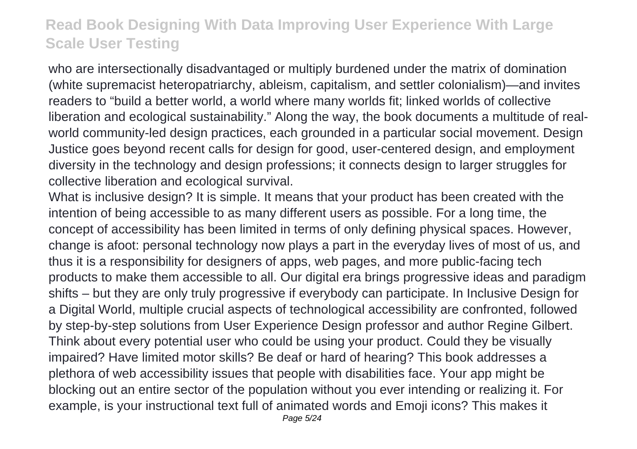who are intersectionally disadvantaged or multiply burdened under the matrix of domination (white supremacist heteropatriarchy, ableism, capitalism, and settler colonialism)—and invites readers to "build a better world, a world where many worlds fit; linked worlds of collective liberation and ecological sustainability." Along the way, the book documents a multitude of realworld community-led design practices, each grounded in a particular social movement. Design Justice goes beyond recent calls for design for good, user-centered design, and employment diversity in the technology and design professions; it connects design to larger struggles for collective liberation and ecological survival.

What is inclusive design? It is simple. It means that your product has been created with the intention of being accessible to as many different users as possible. For a long time, the concept of accessibility has been limited in terms of only defining physical spaces. However, change is afoot: personal technology now plays a part in the everyday lives of most of us, and thus it is a responsibility for designers of apps, web pages, and more public-facing tech products to make them accessible to all. Our digital era brings progressive ideas and paradigm shifts – but they are only truly progressive if everybody can participate. In Inclusive Design for a Digital World, multiple crucial aspects of technological accessibility are confronted, followed by step-by-step solutions from User Experience Design professor and author Regine Gilbert. Think about every potential user who could be using your product. Could they be visually impaired? Have limited motor skills? Be deaf or hard of hearing? This book addresses a plethora of web accessibility issues that people with disabilities face. Your app might be blocking out an entire sector of the population without you ever intending or realizing it. For example, is your instructional text full of animated words and Emoji icons? This makes it Page 5/24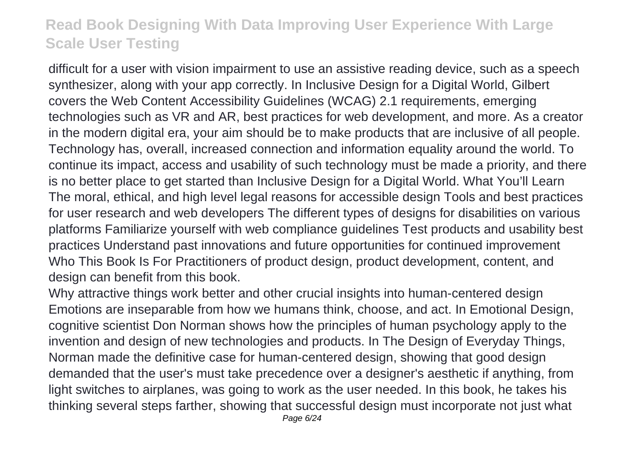difficult for a user with vision impairment to use an assistive reading device, such as a speech synthesizer, along with your app correctly. In Inclusive Design for a Digital World, Gilbert covers the Web Content Accessibility Guidelines (WCAG) 2.1 requirements, emerging technologies such as VR and AR, best practices for web development, and more. As a creator in the modern digital era, your aim should be to make products that are inclusive of all people. Technology has, overall, increased connection and information equality around the world. To continue its impact, access and usability of such technology must be made a priority, and there is no better place to get started than Inclusive Design for a Digital World. What You'll Learn The moral, ethical, and high level legal reasons for accessible design Tools and best practices for user research and web developers The different types of designs for disabilities on various platforms Familiarize yourself with web compliance guidelines Test products and usability best practices Understand past innovations and future opportunities for continued improvement Who This Book Is For Practitioners of product design, product development, content, and design can benefit from this book.

Why attractive things work better and other crucial insights into human-centered design Emotions are inseparable from how we humans think, choose, and act. In Emotional Design, cognitive scientist Don Norman shows how the principles of human psychology apply to the invention and design of new technologies and products. In The Design of Everyday Things, Norman made the definitive case for human-centered design, showing that good design demanded that the user's must take precedence over a designer's aesthetic if anything, from light switches to airplanes, was going to work as the user needed. In this book, he takes his thinking several steps farther, showing that successful design must incorporate not just what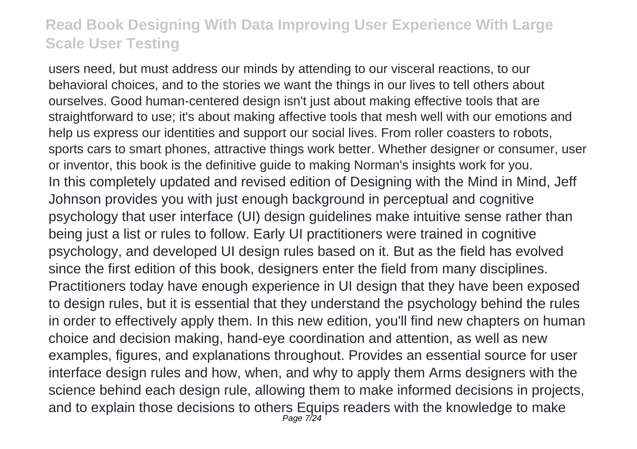users need, but must address our minds by attending to our visceral reactions, to our behavioral choices, and to the stories we want the things in our lives to tell others about ourselves. Good human-centered design isn't just about making effective tools that are straightforward to use; it's about making affective tools that mesh well with our emotions and help us express our identities and support our social lives. From roller coasters to robots, sports cars to smart phones, attractive things work better. Whether designer or consumer, user or inventor, this book is the definitive guide to making Norman's insights work for you. In this completely updated and revised edition of Designing with the Mind in Mind, Jeff Johnson provides you with just enough background in perceptual and cognitive psychology that user interface (UI) design guidelines make intuitive sense rather than being just a list or rules to follow. Early UI practitioners were trained in cognitive psychology, and developed UI design rules based on it. But as the field has evolved since the first edition of this book, designers enter the field from many disciplines. Practitioners today have enough experience in UI design that they have been exposed to design rules, but it is essential that they understand the psychology behind the rules in order to effectively apply them. In this new edition, you'll find new chapters on human choice and decision making, hand-eye coordination and attention, as well as new examples, figures, and explanations throughout. Provides an essential source for user interface design rules and how, when, and why to apply them Arms designers with the science behind each design rule, allowing them to make informed decisions in projects, and to explain those decisions to others Equips readers with the knowledge to make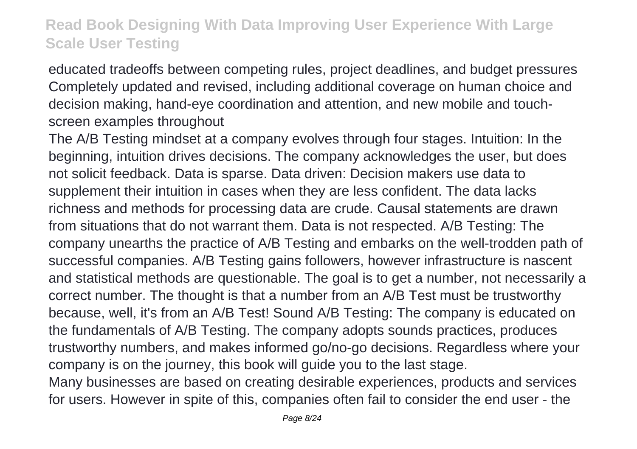educated tradeoffs between competing rules, project deadlines, and budget pressures Completely updated and revised, including additional coverage on human choice and decision making, hand-eye coordination and attention, and new mobile and touchscreen examples throughout

The A/B Testing mindset at a company evolves through four stages. Intuition: In the beginning, intuition drives decisions. The company acknowledges the user, but does not solicit feedback. Data is sparse. Data driven: Decision makers use data to supplement their intuition in cases when they are less confident. The data lacks richness and methods for processing data are crude. Causal statements are drawn from situations that do not warrant them. Data is not respected. A/B Testing: The company unearths the practice of A/B Testing and embarks on the well-trodden path of successful companies. A/B Testing gains followers, however infrastructure is nascent and statistical methods are questionable. The goal is to get a number, not necessarily a correct number. The thought is that a number from an A/B Test must be trustworthy because, well, it's from an A/B Test! Sound A/B Testing: The company is educated on the fundamentals of A/B Testing. The company adopts sounds practices, produces trustworthy numbers, and makes informed go/no-go decisions. Regardless where your company is on the journey, this book will guide you to the last stage. Many businesses are based on creating desirable experiences, products and services for users. However in spite of this, companies often fail to consider the end user - the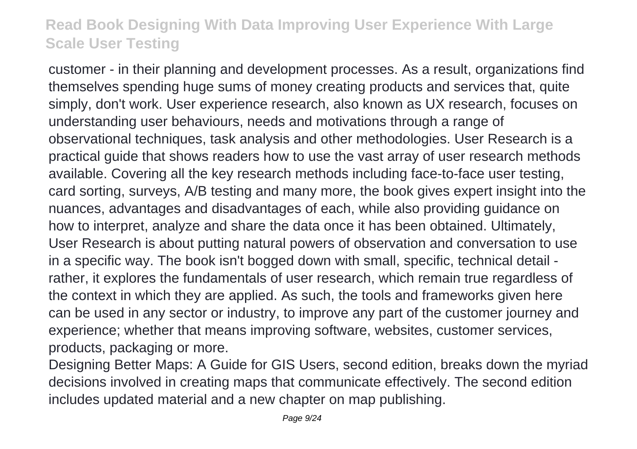customer - in their planning and development processes. As a result, organizations find themselves spending huge sums of money creating products and services that, quite simply, don't work. User experience research, also known as UX research, focuses on understanding user behaviours, needs and motivations through a range of observational techniques, task analysis and other methodologies. User Research is a practical guide that shows readers how to use the vast array of user research methods available. Covering all the key research methods including face-to-face user testing, card sorting, surveys, A/B testing and many more, the book gives expert insight into the nuances, advantages and disadvantages of each, while also providing guidance on how to interpret, analyze and share the data once it has been obtained. Ultimately, User Research is about putting natural powers of observation and conversation to use in a specific way. The book isn't bogged down with small, specific, technical detail rather, it explores the fundamentals of user research, which remain true regardless of the context in which they are applied. As such, the tools and frameworks given here can be used in any sector or industry, to improve any part of the customer journey and experience; whether that means improving software, websites, customer services, products, packaging or more.

Designing Better Maps: A Guide for GIS Users, second edition, breaks down the myriad decisions involved in creating maps that communicate effectively. The second edition includes updated material and a new chapter on map publishing.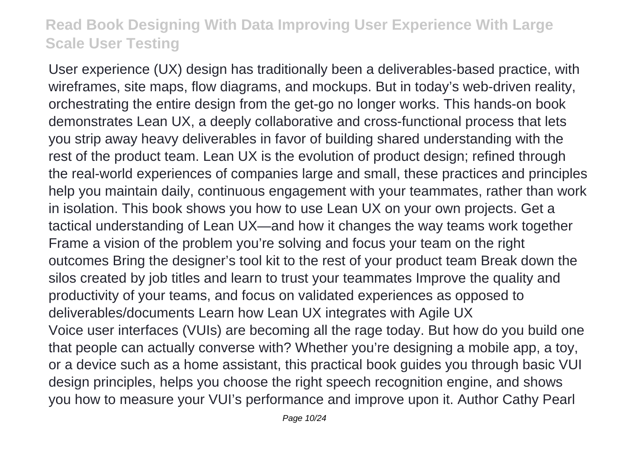User experience (UX) design has traditionally been a deliverables-based practice, with wireframes, site maps, flow diagrams, and mockups. But in today's web-driven reality, orchestrating the entire design from the get-go no longer works. This hands-on book demonstrates Lean UX, a deeply collaborative and cross-functional process that lets you strip away heavy deliverables in favor of building shared understanding with the rest of the product team. Lean UX is the evolution of product design; refined through the real-world experiences of companies large and small, these practices and principles help you maintain daily, continuous engagement with your teammates, rather than work in isolation. This book shows you how to use Lean UX on your own projects. Get a tactical understanding of Lean UX—and how it changes the way teams work together Frame a vision of the problem you're solving and focus your team on the right outcomes Bring the designer's tool kit to the rest of your product team Break down the silos created by job titles and learn to trust your teammates Improve the quality and productivity of your teams, and focus on validated experiences as opposed to deliverables/documents Learn how Lean UX integrates with Agile UX Voice user interfaces (VUIs) are becoming all the rage today. But how do you build one that people can actually converse with? Whether you're designing a mobile app, a toy, or a device such as a home assistant, this practical book guides you through basic VUI design principles, helps you choose the right speech recognition engine, and shows you how to measure your VUI's performance and improve upon it. Author Cathy Pearl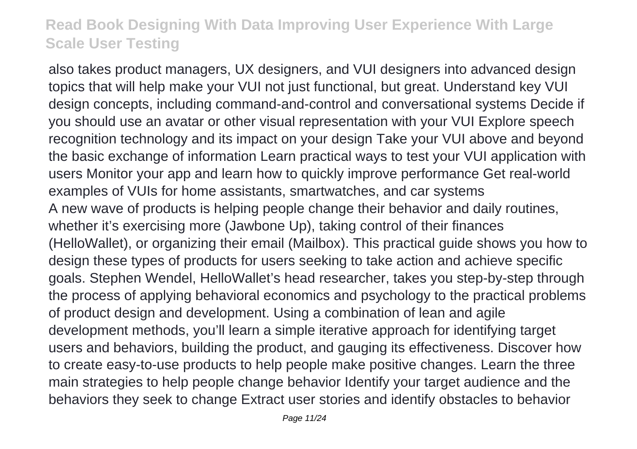also takes product managers, UX designers, and VUI designers into advanced design topics that will help make your VUI not just functional, but great. Understand key VUI design concepts, including command-and-control and conversational systems Decide if you should use an avatar or other visual representation with your VUI Explore speech recognition technology and its impact on your design Take your VUI above and beyond the basic exchange of information Learn practical ways to test your VUI application with users Monitor your app and learn how to quickly improve performance Get real-world examples of VUIs for home assistants, smartwatches, and car systems A new wave of products is helping people change their behavior and daily routines, whether it's exercising more (Jawbone Up), taking control of their finances (HelloWallet), or organizing their email (Mailbox). This practical guide shows you how to design these types of products for users seeking to take action and achieve specific goals. Stephen Wendel, HelloWallet's head researcher, takes you step-by-step through the process of applying behavioral economics and psychology to the practical problems of product design and development. Using a combination of lean and agile development methods, you'll learn a simple iterative approach for identifying target users and behaviors, building the product, and gauging its effectiveness. Discover how to create easy-to-use products to help people make positive changes. Learn the three main strategies to help people change behavior Identify your target audience and the behaviors they seek to change Extract user stories and identify obstacles to behavior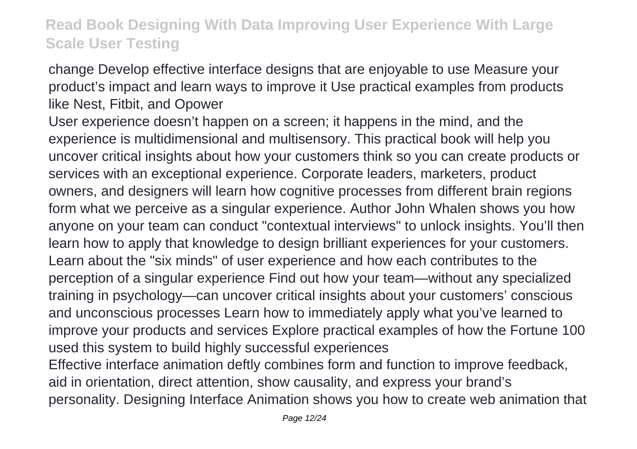change Develop effective interface designs that are enjoyable to use Measure your product's impact and learn ways to improve it Use practical examples from products like Nest, Fitbit, and Opower

User experience doesn't happen on a screen; it happens in the mind, and the experience is multidimensional and multisensory. This practical book will help you uncover critical insights about how your customers think so you can create products or services with an exceptional experience. Corporate leaders, marketers, product owners, and designers will learn how cognitive processes from different brain regions form what we perceive as a singular experience. Author John Whalen shows you how anyone on your team can conduct "contextual interviews" to unlock insights. You'll then learn how to apply that knowledge to design brilliant experiences for your customers. Learn about the "six minds" of user experience and how each contributes to the perception of a singular experience Find out how your team—without any specialized training in psychology—can uncover critical insights about your customers' conscious and unconscious processes Learn how to immediately apply what you've learned to improve your products and services Explore practical examples of how the Fortune 100 used this system to build highly successful experiences Effective interface animation deftly combines form and function to improve feedback, aid in orientation, direct attention, show causality, and express your brand's

personality. Designing Interface Animation shows you how to create web animation that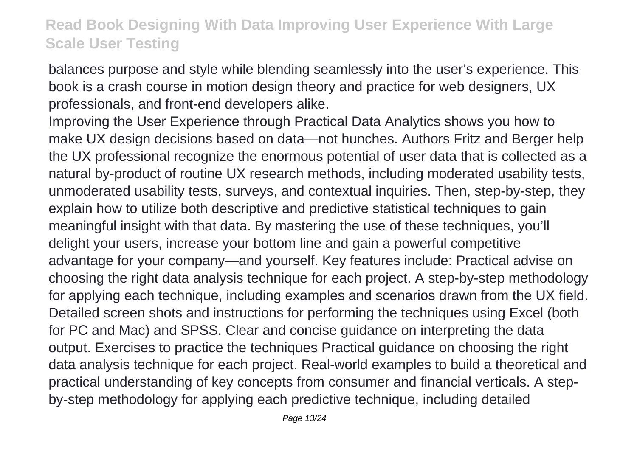balances purpose and style while blending seamlessly into the user's experience. This book is a crash course in motion design theory and practice for web designers, UX professionals, and front-end developers alike.

Improving the User Experience through Practical Data Analytics shows you how to make UX design decisions based on data—not hunches. Authors Fritz and Berger help the UX professional recognize the enormous potential of user data that is collected as a natural by-product of routine UX research methods, including moderated usability tests, unmoderated usability tests, surveys, and contextual inquiries. Then, step-by-step, they explain how to utilize both descriptive and predictive statistical techniques to gain meaningful insight with that data. By mastering the use of these techniques, you'll delight your users, increase your bottom line and gain a powerful competitive advantage for your company—and yourself. Key features include: Practical advise on choosing the right data analysis technique for each project. A step-by-step methodology for applying each technique, including examples and scenarios drawn from the UX field. Detailed screen shots and instructions for performing the techniques using Excel (both for PC and Mac) and SPSS. Clear and concise guidance on interpreting the data output. Exercises to practice the techniques Practical guidance on choosing the right data analysis technique for each project. Real-world examples to build a theoretical and practical understanding of key concepts from consumer and financial verticals. A stepby-step methodology for applying each predictive technique, including detailed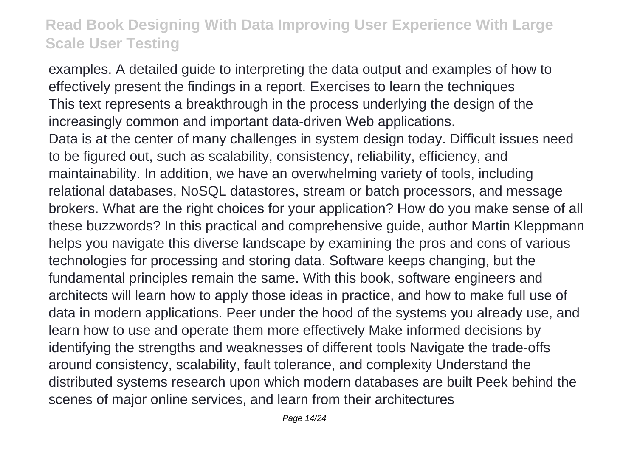examples. A detailed guide to interpreting the data output and examples of how to effectively present the findings in a report. Exercises to learn the techniques This text represents a breakthrough in the process underlying the design of the increasingly common and important data-driven Web applications. Data is at the center of many challenges in system design today. Difficult issues need to be figured out, such as scalability, consistency, reliability, efficiency, and maintainability. In addition, we have an overwhelming variety of tools, including relational databases, NoSQL datastores, stream or batch processors, and message brokers. What are the right choices for your application? How do you make sense of all these buzzwords? In this practical and comprehensive guide, author Martin Kleppmann helps you navigate this diverse landscape by examining the pros and cons of various technologies for processing and storing data. Software keeps changing, but the fundamental principles remain the same. With this book, software engineers and architects will learn how to apply those ideas in practice, and how to make full use of data in modern applications. Peer under the hood of the systems you already use, and learn how to use and operate them more effectively Make informed decisions by identifying the strengths and weaknesses of different tools Navigate the trade-offs around consistency, scalability, fault tolerance, and complexity Understand the distributed systems research upon which modern databases are built Peek behind the scenes of major online services, and learn from their architectures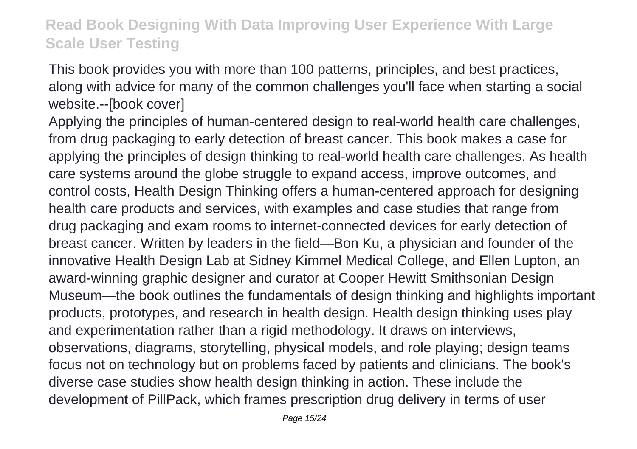This book provides you with more than 100 patterns, principles, and best practices, along with advice for many of the common challenges you'll face when starting a social website.--[book cover]

Applying the principles of human-centered design to real-world health care challenges, from drug packaging to early detection of breast cancer. This book makes a case for applying the principles of design thinking to real-world health care challenges. As health care systems around the globe struggle to expand access, improve outcomes, and control costs, Health Design Thinking offers a human-centered approach for designing health care products and services, with examples and case studies that range from drug packaging and exam rooms to internet-connected devices for early detection of breast cancer. Written by leaders in the field—Bon Ku, a physician and founder of the innovative Health Design Lab at Sidney Kimmel Medical College, and Ellen Lupton, an award-winning graphic designer and curator at Cooper Hewitt Smithsonian Design Museum—the book outlines the fundamentals of design thinking and highlights important products, prototypes, and research in health design. Health design thinking uses play and experimentation rather than a rigid methodology. It draws on interviews, observations, diagrams, storytelling, physical models, and role playing; design teams focus not on technology but on problems faced by patients and clinicians. The book's diverse case studies show health design thinking in action. These include the development of PillPack, which frames prescription drug delivery in terms of user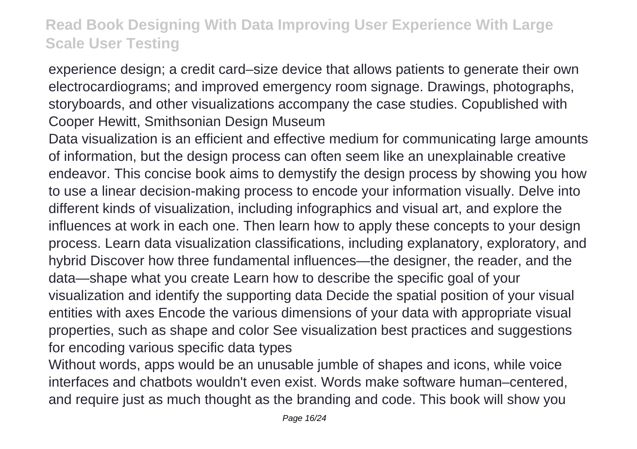experience design; a credit card–size device that allows patients to generate their own electrocardiograms; and improved emergency room signage. Drawings, photographs, storyboards, and other visualizations accompany the case studies. Copublished with Cooper Hewitt, Smithsonian Design Museum

Data visualization is an efficient and effective medium for communicating large amounts of information, but the design process can often seem like an unexplainable creative endeavor. This concise book aims to demystify the design process by showing you how to use a linear decision-making process to encode your information visually. Delve into different kinds of visualization, including infographics and visual art, and explore the influences at work in each one. Then learn how to apply these concepts to your design process. Learn data visualization classifications, including explanatory, exploratory, and hybrid Discover how three fundamental influences—the designer, the reader, and the data—shape what you create Learn how to describe the specific goal of your visualization and identify the supporting data Decide the spatial position of your visual entities with axes Encode the various dimensions of your data with appropriate visual properties, such as shape and color See visualization best practices and suggestions for encoding various specific data types

Without words, apps would be an unusable jumble of shapes and icons, while voice interfaces and chatbots wouldn't even exist. Words make software human–centered, and require just as much thought as the branding and code. This book will show you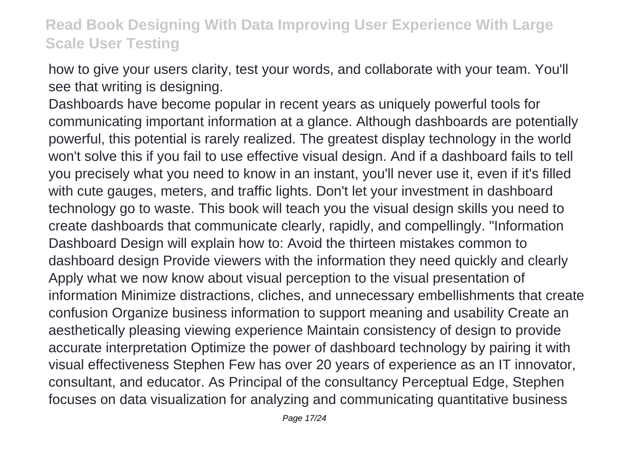how to give your users clarity, test your words, and collaborate with your team. You'll see that writing is designing.

Dashboards have become popular in recent years as uniquely powerful tools for communicating important information at a glance. Although dashboards are potentially powerful, this potential is rarely realized. The greatest display technology in the world won't solve this if you fail to use effective visual design. And if a dashboard fails to tell you precisely what you need to know in an instant, you'll never use it, even if it's filled with cute gauges, meters, and traffic lights. Don't let your investment in dashboard technology go to waste. This book will teach you the visual design skills you need to create dashboards that communicate clearly, rapidly, and compellingly. "Information Dashboard Design will explain how to: Avoid the thirteen mistakes common to dashboard design Provide viewers with the information they need quickly and clearly Apply what we now know about visual perception to the visual presentation of information Minimize distractions, cliches, and unnecessary embellishments that create confusion Organize business information to support meaning and usability Create an aesthetically pleasing viewing experience Maintain consistency of design to provide accurate interpretation Optimize the power of dashboard technology by pairing it with visual effectiveness Stephen Few has over 20 years of experience as an IT innovator, consultant, and educator. As Principal of the consultancy Perceptual Edge, Stephen focuses on data visualization for analyzing and communicating quantitative business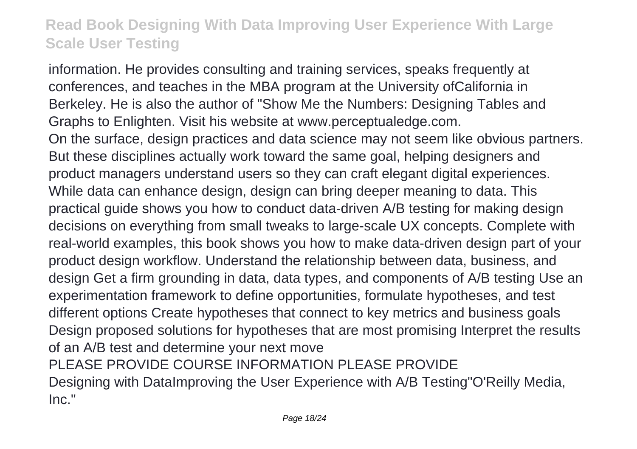information. He provides consulting and training services, speaks frequently at conferences, and teaches in the MBA program at the University ofCalifornia in Berkeley. He is also the author of "Show Me the Numbers: Designing Tables and Graphs to Enlighten. Visit his website at www.perceptualedge.com. On the surface, design practices and data science may not seem like obvious partners. But these disciplines actually work toward the same goal, helping designers and product managers understand users so they can craft elegant digital experiences. While data can enhance design, design can bring deeper meaning to data. This practical guide shows you how to conduct data-driven A/B testing for making design decisions on everything from small tweaks to large-scale UX concepts. Complete with real-world examples, this book shows you how to make data-driven design part of your product design workflow. Understand the relationship between data, business, and design Get a firm grounding in data, data types, and components of A/B testing Use an experimentation framework to define opportunities, formulate hypotheses, and test different options Create hypotheses that connect to key metrics and business goals Design proposed solutions for hypotheses that are most promising Interpret the results of an A/B test and determine your next move PLEASE PROVIDE COURSE INFORMATION PLEASE PROVIDE Designing with DataImproving the User Experience with A/B Testing"O'Reilly Media, Inc."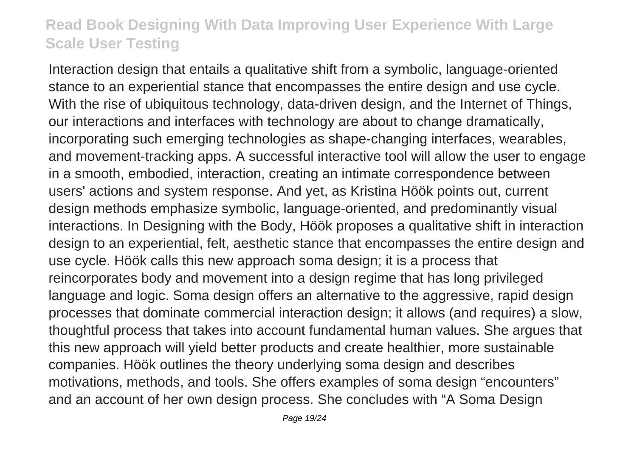Interaction design that entails a qualitative shift from a symbolic, language-oriented stance to an experiential stance that encompasses the entire design and use cycle. With the rise of ubiquitous technology, data-driven design, and the Internet of Things, our interactions and interfaces with technology are about to change dramatically, incorporating such emerging technologies as shape-changing interfaces, wearables, and movement-tracking apps. A successful interactive tool will allow the user to engage in a smooth, embodied, interaction, creating an intimate correspondence between users' actions and system response. And yet, as Kristina Höök points out, current design methods emphasize symbolic, language-oriented, and predominantly visual interactions. In Designing with the Body, Höök proposes a qualitative shift in interaction design to an experiential, felt, aesthetic stance that encompasses the entire design and use cycle. Höök calls this new approach soma design; it is a process that reincorporates body and movement into a design regime that has long privileged language and logic. Soma design offers an alternative to the aggressive, rapid design processes that dominate commercial interaction design; it allows (and requires) a slow, thoughtful process that takes into account fundamental human values. She argues that this new approach will yield better products and create healthier, more sustainable companies. Höök outlines the theory underlying soma design and describes motivations, methods, and tools. She offers examples of soma design "encounters" and an account of her own design process. She concludes with "A Soma Design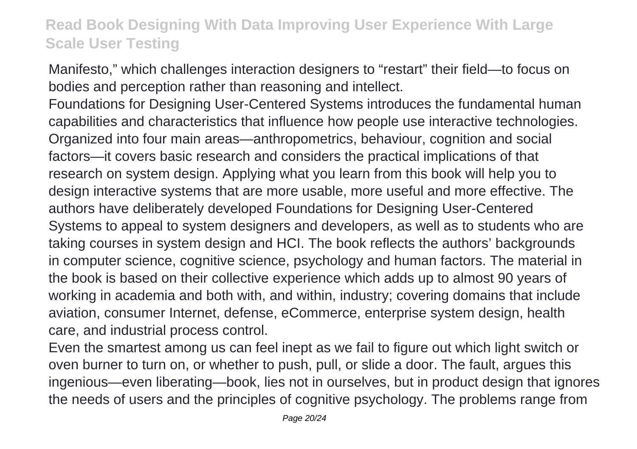Manifesto," which challenges interaction designers to "restart" their field—to focus on bodies and perception rather than reasoning and intellect.

Foundations for Designing User-Centered Systems introduces the fundamental human capabilities and characteristics that influence how people use interactive technologies. Organized into four main areas—anthropometrics, behaviour, cognition and social factors—it covers basic research and considers the practical implications of that research on system design. Applying what you learn from this book will help you to design interactive systems that are more usable, more useful and more effective. The authors have deliberately developed Foundations for Designing User-Centered Systems to appeal to system designers and developers, as well as to students who are taking courses in system design and HCI. The book reflects the authors' backgrounds in computer science, cognitive science, psychology and human factors. The material in the book is based on their collective experience which adds up to almost 90 years of working in academia and both with, and within, industry; covering domains that include aviation, consumer Internet, defense, eCommerce, enterprise system design, health care, and industrial process control.

Even the smartest among us can feel inept as we fail to figure out which light switch or oven burner to turn on, or whether to push, pull, or slide a door. The fault, argues this ingenious—even liberating—book, lies not in ourselves, but in product design that ignores the needs of users and the principles of cognitive psychology. The problems range from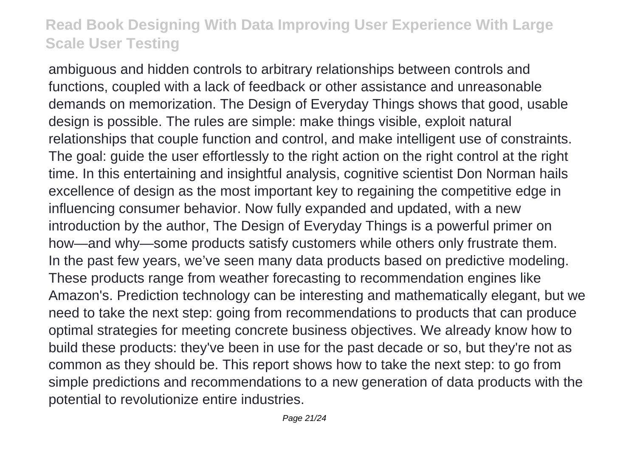ambiguous and hidden controls to arbitrary relationships between controls and functions, coupled with a lack of feedback or other assistance and unreasonable demands on memorization. The Design of Everyday Things shows that good, usable design is possible. The rules are simple: make things visible, exploit natural relationships that couple function and control, and make intelligent use of constraints. The goal: guide the user effortlessly to the right action on the right control at the right time. In this entertaining and insightful analysis, cognitive scientist Don Norman hails excellence of design as the most important key to regaining the competitive edge in influencing consumer behavior. Now fully expanded and updated, with a new introduction by the author, The Design of Everyday Things is a powerful primer on how—and why—some products satisfy customers while others only frustrate them. In the past few years, we've seen many data products based on predictive modeling. These products range from weather forecasting to recommendation engines like Amazon's. Prediction technology can be interesting and mathematically elegant, but we need to take the next step: going from recommendations to products that can produce optimal strategies for meeting concrete business objectives. We already know how to build these products: they've been in use for the past decade or so, but they're not as common as they should be. This report shows how to take the next step: to go from simple predictions and recommendations to a new generation of data products with the potential to revolutionize entire industries.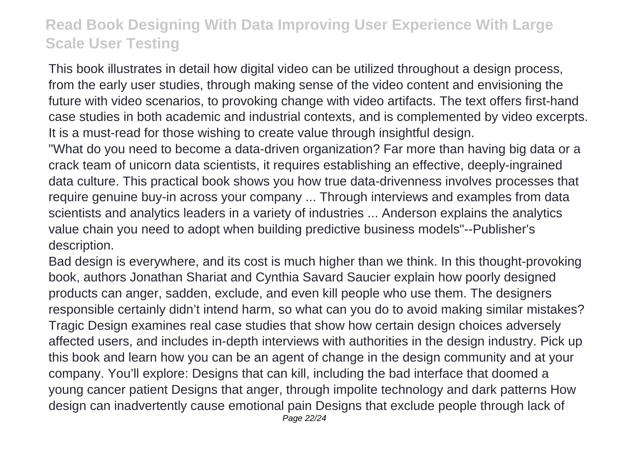This book illustrates in detail how digital video can be utilized throughout a design process, from the early user studies, through making sense of the video content and envisioning the future with video scenarios, to provoking change with video artifacts. The text offers first-hand case studies in both academic and industrial contexts, and is complemented by video excerpts. It is a must-read for those wishing to create value through insightful design.

"What do you need to become a data-driven organization? Far more than having big data or a crack team of unicorn data scientists, it requires establishing an effective, deeply-ingrained data culture. This practical book shows you how true data-drivenness involves processes that require genuine buy-in across your company ... Through interviews and examples from data scientists and analytics leaders in a variety of industries ... Anderson explains the analytics value chain you need to adopt when building predictive business models"--Publisher's description.

Bad design is everywhere, and its cost is much higher than we think. In this thought-provoking book, authors Jonathan Shariat and Cynthia Savard Saucier explain how poorly designed products can anger, sadden, exclude, and even kill people who use them. The designers responsible certainly didn't intend harm, so what can you do to avoid making similar mistakes? Tragic Design examines real case studies that show how certain design choices adversely affected users, and includes in-depth interviews with authorities in the design industry. Pick up this book and learn how you can be an agent of change in the design community and at your company. You'll explore: Designs that can kill, including the bad interface that doomed a young cancer patient Designs that anger, through impolite technology and dark patterns How design can inadvertently cause emotional pain Designs that exclude people through lack of Page 22/24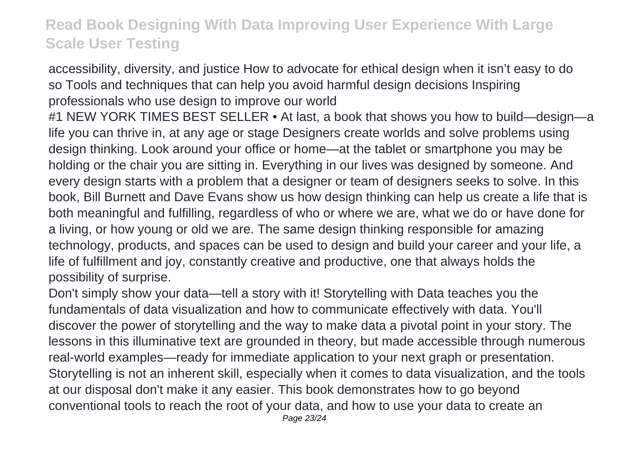accessibility, diversity, and justice How to advocate for ethical design when it isn't easy to do so Tools and techniques that can help you avoid harmful design decisions Inspiring professionals who use design to improve our world

#1 NEW YORK TIMES BEST SELLER • At last, a book that shows you how to build—design—a life you can thrive in, at any age or stage Designers create worlds and solve problems using design thinking. Look around your office or home—at the tablet or smartphone you may be holding or the chair you are sitting in. Everything in our lives was designed by someone. And every design starts with a problem that a designer or team of designers seeks to solve. In this book, Bill Burnett and Dave Evans show us how design thinking can help us create a life that is both meaningful and fulfilling, regardless of who or where we are, what we do or have done for a living, or how young or old we are. The same design thinking responsible for amazing technology, products, and spaces can be used to design and build your career and your life, a life of fulfillment and joy, constantly creative and productive, one that always holds the possibility of surprise.

Don't simply show your data—tell a story with it! Storytelling with Data teaches you the fundamentals of data visualization and how to communicate effectively with data. You'll discover the power of storytelling and the way to make data a pivotal point in your story. The lessons in this illuminative text are grounded in theory, but made accessible through numerous real-world examples—ready for immediate application to your next graph or presentation. Storytelling is not an inherent skill, especially when it comes to data visualization, and the tools at our disposal don't make it any easier. This book demonstrates how to go beyond conventional tools to reach the root of your data, and how to use your data to create an